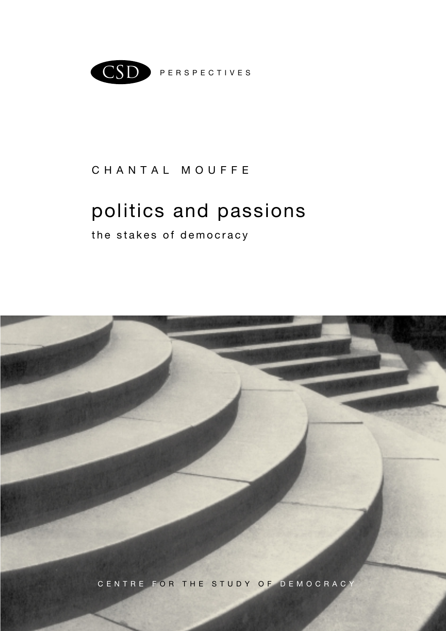

### CHANTAL MOUFFE

## politics and passions

the stakes of democracy

CENTRE FOR THE STUDY OF DEMOCRACY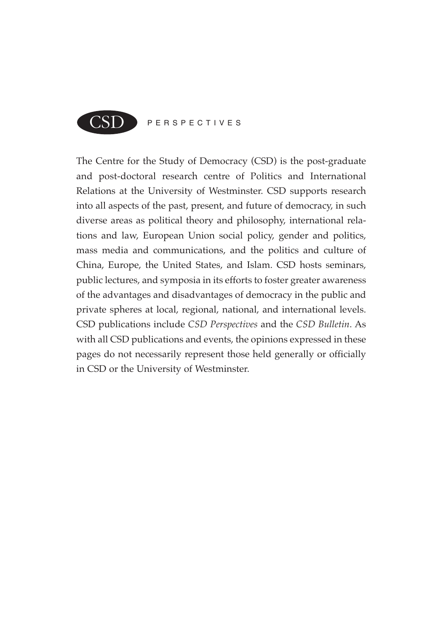

The Centre for the Study of Democracy (CSD) is the post-graduate and post-doctoral research centre of Politics and International Relations at the University of Westminster. CSD supports research into all aspects of the past, present, and future of democracy, in such diverse areas as political theory and philosophy, international relations and law, European Union social policy, gender and politics, mass media and communications, and the politics and culture of China, Europe, the United States, and Islam. CSD hosts seminars, public lectures, and symposia in its efforts to foster greater awareness of the advantages and disadvantages of democracy in the public and private spheres at local, regional, national, and international levels. CSD publications include *CSD Perspectives* and the *CSD Bulletin*. As with all CSD publications and events, the opinions expressed in these pages do not necessarily represent those held generally or officially in CSD or the University of Westminster.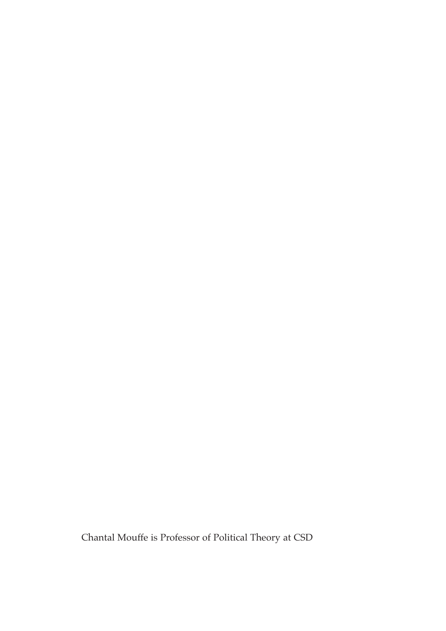Chantal Mouffe is Professor of Political Theory at CSD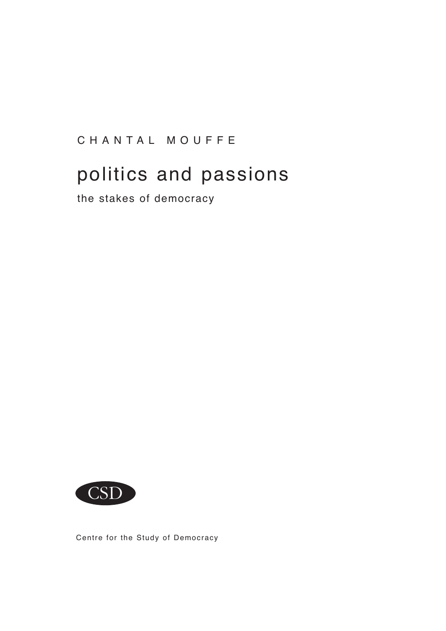### CHANTAL MOUFFE

# politics and passions

the stakes of democracy



Centre for the Study of Democracy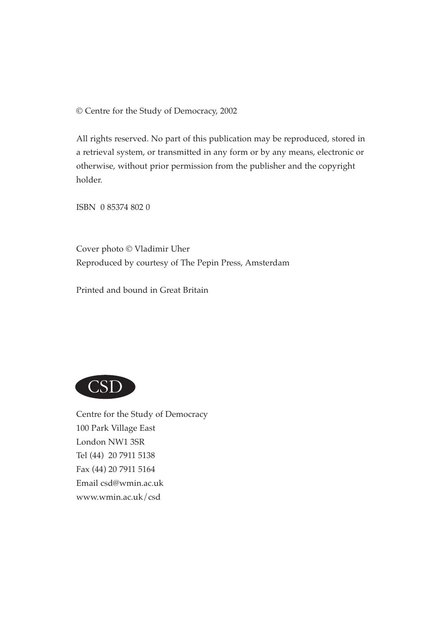© Centre for the Study of Democracy, 2002

All rights reserved. No part of this publication may be reproduced, stored in a retrieval system, or transmitted in any form or by any means, electronic or otherwise, without prior permission from the publisher and the copyright holder.

ISBN 0 85374 802 0

Cover photo © Vladimir Uher Reproduced by courtesy of The Pepin Press, Amsterdam

Printed and bound in Great Britain



Centre for the Study of Democracy 100 Park Village East London NW1 3SR Tel (44) 20 7911 5138 Fax (44) 20 7911 5164 Email csd@wmin.ac.uk www.wmin.ac.uk/csd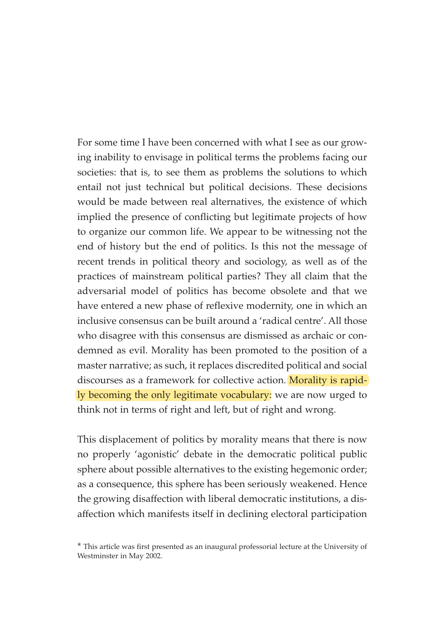For some time I have been concerned with what I see as our growing inability to envisage in political terms the problems facing our societies: that is, to see them as problems the solutions to which entail not just technical but political decisions. These decisions would be made between real alternatives, the existence of which implied the presence of conflicting but legitimate projects of how to organize our common life. We appear to be witnessing not the end of history but the end of politics. Is this not the message of recent trends in political theory and sociology, as well as of the practices of mainstream political parties? They all claim that the adversarial model of politics has become obsolete and that we have entered a new phase of reflexive modernity, one in which an inclusive consensus can be built around a 'radical centre'. All those who disagree with this consensus are dismissed as archaic or condemned as evil. Morality has been promoted to the position of a master narrative; as such, it replaces discredited political and social discourses as a framework for collective action. Morality is rapidly becoming the only legitimate vocabulary: we are now urged to think not in terms of right and left, but of right and wrong.

This displacement of politics by morality means that there is now no properly 'agonistic' debate in the democratic political public sphere about possible alternatives to the existing hegemonic order; as a consequence, this sphere has been seriously weakened. Hence the growing disaffection with liberal democratic institutions, a disaffection which manifests itself in declining electoral participation

<sup>\*</sup> This article was first presented as an inaugural professorial lecture at the University of Westminster in May 2002.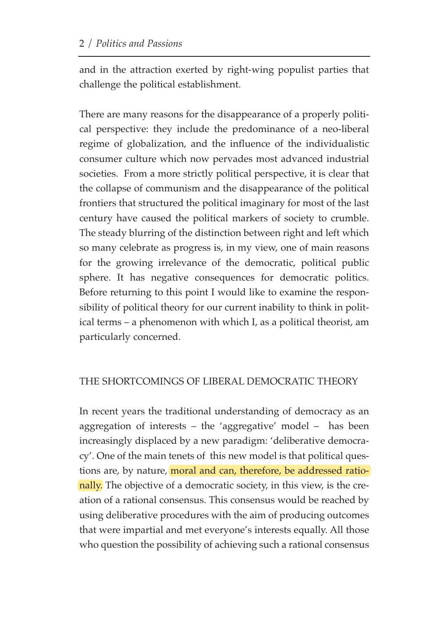and in the attraction exerted by right-wing populist parties that challenge the political establishment.

There are many reasons for the disappearance of a properly political perspective: they include the predominance of a neo-liberal regime of globalization, and the influence of the individualistic consumer culture which now pervades most advanced industrial societies. From a more strictly political perspective, it is clear that the collapse of communism and the disappearance of the political frontiers that structured the political imaginary for most of the last century have caused the political markers of society to crumble. The steady blurring of the distinction between right and left which so many celebrate as progress is, in my view, one of main reasons for the growing irrelevance of the democratic, political public sphere. It has negative consequences for democratic politics. Before returning to this point I would like to examine the responsibility of political theory for our current inability to think in political terms – a phenomenon with which I, as a political theorist, am particularly concerned.

#### THE SHORTCOMINGS OF LIBERAL DEMOCRATIC THEORY

In recent years the traditional understanding of democracy as an aggregation of interests – the 'aggregative' model – has been increasingly displaced by a new paradigm: 'deliberative democracy'. One of the main tenets of this new model is that political questions are, by nature, moral and can, therefore, be addressed rationally. The objective of a democratic society, in this view, is the creation of a rational consensus. This consensus would be reached by using deliberative procedures with the aim of producing outcomes that were impartial and met everyone's interests equally. All those who question the possibility of achieving such a rational consensus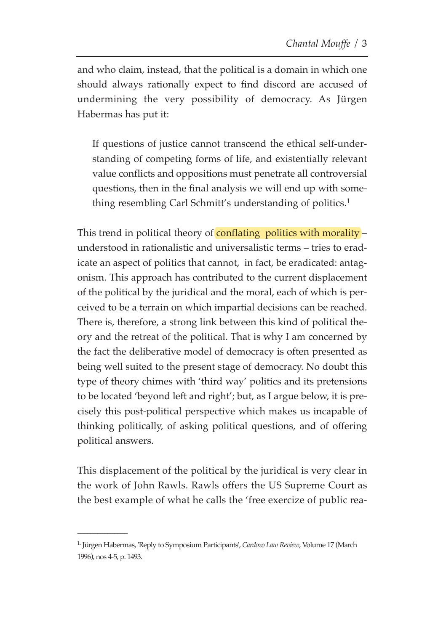and who claim, instead, that the political is a domain in which one should always rationally expect to find discord are accused of undermining the very possibility of democracy. As Jürgen Habermas has put it:

If questions of justice cannot transcend the ethical self-understanding of competing forms of life, and existentially relevant value conflicts and oppositions must penetrate all controversial questions, then in the final analysis we will end up with something resembling Carl Schmitt's understanding of politics.<sup>1</sup>

This trend in political theory of conflating politics with morality understood in rationalistic and universalistic terms – tries to eradicate an aspect of politics that cannot, in fact, be eradicated: antagonism. This approach has contributed to the current displacement of the political by the juridical and the moral, each of which is perceived to be a terrain on which impartial decisions can be reached. There is, therefore, a strong link between this kind of political theory and the retreat of the political. That is why I am concerned by the fact the deliberative model of democracy is often presented as being well suited to the present stage of democracy. No doubt this type of theory chimes with 'third way' politics and its pretensions to be located 'beyond left and right'; but, as I argue below, it is precisely this post-political perspective which makes us incapable of thinking politically, of asking political questions, and of offering political answers.

This displacement of the political by the juridical is very clear in the work of John Rawls. Rawls offers the US Supreme Court as the best example of what he calls the 'free exercize of public rea-

–––––––––––––––

<sup>1.</sup> Jürgen Habermas, 'Reply to Symposium Participants', *Cardozo Law Review*, Volume 17 (March 1996), nos 4-5, p. 1493.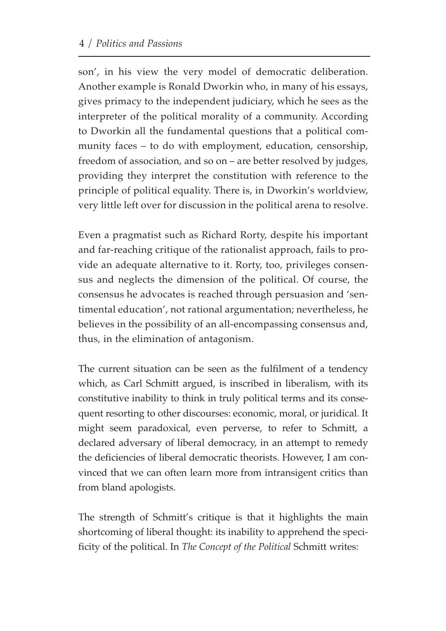son', in his view the very model of democratic deliberation. Another example is Ronald Dworkin who, in many of his essays, gives primacy to the independent judiciary, which he sees as the interpreter of the political morality of a community. According to Dworkin all the fundamental questions that a political community faces – to do with employment, education, censorship, freedom of association, and so on – are better resolved by judges, providing they interpret the constitution with reference to the principle of political equality. There is, in Dworkin's worldview, very little left over for discussion in the political arena to resolve.

Even a pragmatist such as Richard Rorty, despite his important and far-reaching critique of the rationalist approach, fails to provide an adequate alternative to it. Rorty, too, privileges consensus and neglects the dimension of the political. Of course, the consensus he advocates is reached through persuasion and 'sentimental education', not rational argumentation; nevertheless, he believes in the possibility of an all-encompassing consensus and, thus, in the elimination of antagonism.

The current situation can be seen as the fulfilment of a tendency which, as Carl Schmitt argued, is inscribed in liberalism, with its constitutive inability to think in truly political terms and its consequent resorting to other discourses: economic, moral, or juridical. It might seem paradoxical, even perverse, to refer to Schmitt, a declared adversary of liberal democracy, in an attempt to remedy the deficiencies of liberal democratic theorists. However, I am convinced that we can often learn more from intransigent critics than from bland apologists.

The strength of Schmitt's critique is that it highlights the main shortcoming of liberal thought: its inability to apprehend the specificity of the political. In *The Concept of the Political* Schmitt writes: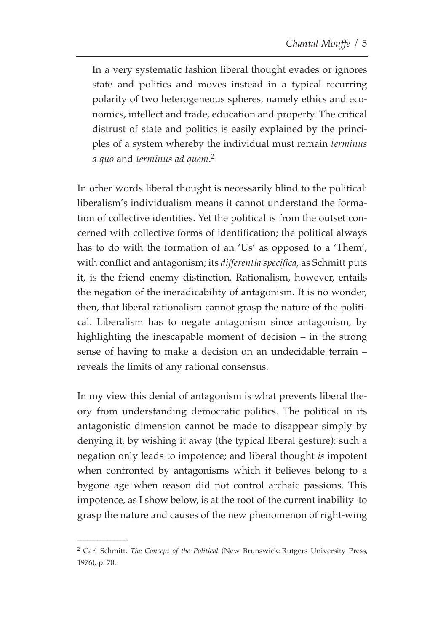In a very systematic fashion liberal thought evades or ignores state and politics and moves instead in a typical recurring polarity of two heterogeneous spheres, namely ethics and economics, intellect and trade, education and property. The critical distrust of state and politics is easily explained by the principles of a system whereby the individual must remain *terminus a quo* and *terminus ad quem*. 2

In other words liberal thought is necessarily blind to the political: liberalism's individualism means it cannot understand the formation of collective identities. Yet the political is from the outset concerned with collective forms of identification; the political always has to do with the formation of an 'Us' as opposed to a 'Them', with conflict and antagonism; its *differentia specifica*, as Schmitt puts it, is the friend–enemy distinction. Rationalism, however, entails the negation of the ineradicability of antagonism. It is no wonder, then, that liberal rationalism cannot grasp the nature of the political. Liberalism has to negate antagonism since antagonism, by highlighting the inescapable moment of decision – in the strong sense of having to make a decision on an undecidable terrain – reveals the limits of any rational consensus.

In my view this denial of antagonism is what prevents liberal theory from understanding democratic politics. The political in its antagonistic dimension cannot be made to disappear simply by denying it, by wishing it away (the typical liberal gesture): such a negation only leads to impotence; and liberal thought *is* impotent when confronted by antagonisms which it believes belong to a bygone age when reason did not control archaic passions. This impotence, as I show below, is at the root of the current inability to grasp the nature and causes of the new phenomenon of right-wing

–––––––––––––––

<sup>2</sup> Carl Schmitt, *The Concept of the Political* (New Brunswick: Rutgers University Press, 1976), p. 70.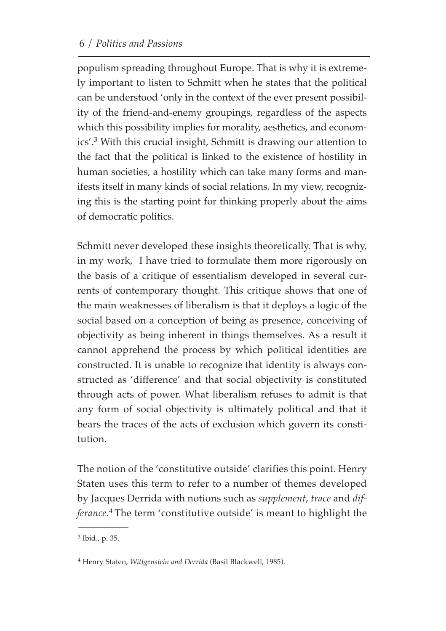#### 6 / *Politics and Passions*

populism spreading throughout Europe. That is why it is extremely important to listen to Schmitt when he states that the political can be understood 'only in the context of the ever present possibility of the friend-and-enemy groupings, regardless of the aspects which this possibility implies for morality, aesthetics, and economics'.3 With this crucial insight, Schmitt is drawing our attention to the fact that the political is linked to the existence of hostility in human societies, a hostility which can take many forms and manifests itself in many kinds of social relations. In my view, recognizing this is the starting point for thinking properly about the aims of democratic politics.

Schmitt never developed these insights theoretically. That is why, in my work, I have tried to formulate them more rigorously on the basis of a critique of essentialism developed in several currents of contemporary thought. This critique shows that one of the main weaknesses of liberalism is that it deploys a logic of the social based on a conception of being as presence, conceiving of objectivity as being inherent in things themselves. As a result it cannot apprehend the process by which political identities are constructed. It is unable to recognize that identity is always constructed as 'difference' and that social objectivity is constituted through acts of power. What liberalism refuses to admit is that any form of social objectivity is ultimately political and that it bears the traces of the acts of exclusion which govern its constitution.

The notion of the 'constitutive outside' clarifies this point. Henry Staten uses this term to refer to a number of themes developed by Jacques Derrida with notions such as *supplement*, *trace* and *differance*. 4 The term 'constitutive outside' is meant to highlight the

<sup>–––––––––––––––</sup> <sup>3</sup> Ibid., p. 35.

<sup>4</sup> Henry Staten, *Wittgenstein and Derrida* (Basil Blackwell, 1985).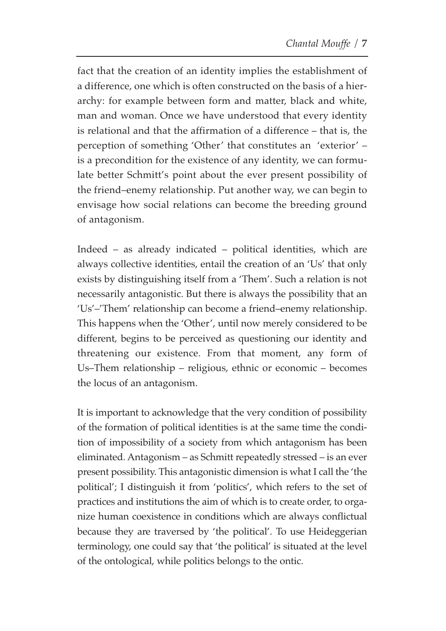fact that the creation of an identity implies the establishment of a difference, one which is often constructed on the basis of a hierarchy: for example between form and matter, black and white, man and woman. Once we have understood that every identity is relational and that the affirmation of a difference – that is, the perception of something 'Other' that constitutes an 'exterior' – is a precondition for the existence of any identity, we can formulate better Schmitt's point about the ever present possibility of the friend–enemy relationship. Put another way, we can begin to envisage how social relations can become the breeding ground of antagonism.

Indeed – as already indicated – political identities, which are always collective identities, entail the creation of an 'Us' that only exists by distinguishing itself from a 'Them'. Such a relation is not necessarily antagonistic. But there is always the possibility that an 'Us'–'Them' relationship can become a friend–enemy relationship. This happens when the 'Other', until now merely considered to be different, begins to be perceived as questioning our identity and threatening our existence. From that moment, any form of Us–Them relationship – religious, ethnic or economic – becomes the locus of an antagonism.

It is important to acknowledge that the very condition of possibility of the formation of political identities is at the same time the condition of impossibility of a society from which antagonism has been eliminated. Antagonism – as Schmitt repeatedly stressed – is an ever present possibility. This antagonistic dimension is what I call the 'the political'; I distinguish it from 'politics', which refers to the set of practices and institutions the aim of which is to create order, to organize human coexistence in conditions which are always conflictual because they are traversed by 'the political'. To use Heideggerian terminology, one could say that 'the political' is situated at the level of the ontological, while politics belongs to the ontic.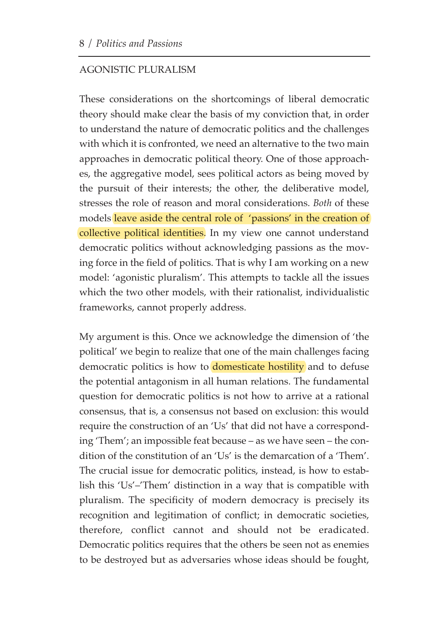#### AGONISTIC PLURALISM

These considerations on the shortcomings of liberal democratic theory should make clear the basis of my conviction that, in order to understand the nature of democratic politics and the challenges with which it is confronted, we need an alternative to the two main approaches in democratic political theory. One of those approaches, the aggregative model, sees political actors as being moved by the pursuit of their interests; the other, the deliberative model, stresses the role of reason and moral considerations. *Both* of these models leave aside the central role of 'passions' in the creation of collective political identities. In my view one cannot understand democratic politics without acknowledging passions as the moving force in the field of politics. That is why I am working on a new model: 'agonistic pluralism'. This attempts to tackle all the issues which the two other models, with their rationalist, individualistic frameworks, cannot properly address.

My argument is this. Once we acknowledge the dimension of 'the political' we begin to realize that one of the main challenges facing democratic politics is how to **domesticate hostility** and to defuse the potential antagonism in all human relations. The fundamental question for democratic politics is not how to arrive at a rational consensus, that is, a consensus not based on exclusion: this would require the construction of an 'Us' that did not have a corresponding 'Them'; an impossible feat because – as we have seen – the condition of the constitution of an 'Us' is the demarcation of a 'Them'. The crucial issue for democratic politics, instead, is how to establish this 'Us'–'Them' distinction in a way that is compatible with pluralism. The specificity of modern democracy is precisely its recognition and legitimation of conflict; in democratic societies, therefore, conflict cannot and should not be eradicated. Democratic politics requires that the others be seen not as enemies to be destroyed but as adversaries whose ideas should be fought,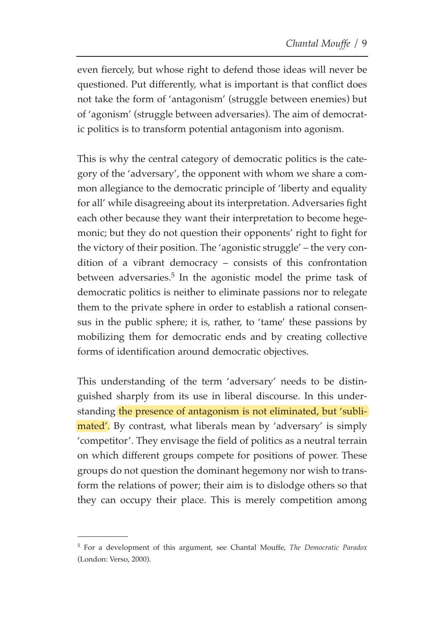even fiercely, but whose right to defend those ideas will never be questioned. Put differently, what is important is that conflict does not take the form of 'antagonism' (struggle between enemies) but of 'agonism' (struggle between adversaries). The aim of democratic politics is to transform potential antagonism into agonism.

This is why the central category of democratic politics is the category of the 'adversary', the opponent with whom we share a common allegiance to the democratic principle of 'liberty and equality for all' while disagreeing about its interpretation. Adversaries fight each other because they want their interpretation to become hegemonic; but they do not question their opponents' right to fight for the victory of their position. The 'agonistic struggle' – the very condition of a vibrant democracy – consists of this confrontation between adversaries.<sup>5</sup> In the agonistic model the prime task of democratic politics is neither to eliminate passions nor to relegate them to the private sphere in order to establish a rational consensus in the public sphere; it is, rather, to 'tame' these passions by mobilizing them for democratic ends and by creating collective forms of identification around democratic objectives.

This understanding of the term 'adversary' needs to be distinguished sharply from its use in liberal discourse. In this understanding the presence of antagonism is not eliminated, but 'sublimated'. By contrast, what liberals mean by 'adversary' is simply 'competitor'. They envisage the field of politics as a neutral terrain on which different groups compete for positions of power. These groups do not question the dominant hegemony nor wish to transform the relations of power; their aim is to dislodge others so that they can occupy their place. This is merely competition among

–––––––––––––––

<sup>5</sup> For a development of this argument, see Chantal Mouffe, *The Democratic Paradox* (London: Verso, 2000).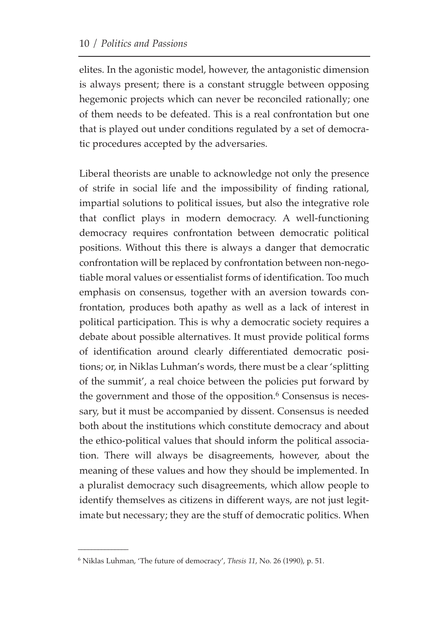elites. In the agonistic model, however, the antagonistic dimension is always present; there is a constant struggle between opposing hegemonic projects which can never be reconciled rationally; one of them needs to be defeated. This is a real confrontation but one that is played out under conditions regulated by a set of democratic procedures accepted by the adversaries.

Liberal theorists are unable to acknowledge not only the presence of strife in social life and the impossibility of finding rational, impartial solutions to political issues, but also the integrative role that conflict plays in modern democracy. A well-functioning democracy requires confrontation between democratic political positions. Without this there is always a danger that democratic confrontation will be replaced by confrontation between non-negotiable moral values or essentialist forms of identification. Too much emphasis on consensus, together with an aversion towards confrontation, produces both apathy as well as a lack of interest in political participation. This is why a democratic society requires a debate about possible alternatives. It must provide political forms of identification around clearly differentiated democratic positions; or, in Niklas Luhman's words, there must be a clear 'splitting of the summit', a real choice between the policies put forward by the government and those of the opposition.<sup>6</sup> Consensus is necessary, but it must be accompanied by dissent. Consensus is needed both about the institutions which constitute democracy and about the ethico-political values that should inform the political association. There will always be disagreements, however, about the meaning of these values and how they should be implemented. In a pluralist democracy such disagreements, which allow people to identify themselves as citizens in different ways, are not just legitimate but necessary; they are the stuff of democratic politics. When

–––––––––––––––

<sup>6</sup> Niklas Luhman, 'The future of democracy', *Thesis 11*, No. 26 (1990), p. 51.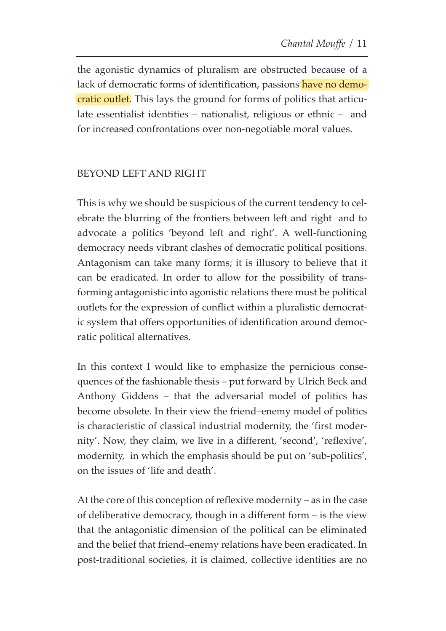the agonistic dynamics of pluralism are obstructed because of a lack of democratic forms of identification, passions have no democratic outlet. This lays the ground for forms of politics that articulate essentialist identities – nationalist, religious or ethnic – and for increased confrontations over non-negotiable moral values.

#### BEYOND LEFT AND RIGHT

This is why we should be suspicious of the current tendency to celebrate the blurring of the frontiers between left and right and to advocate a politics 'beyond left and right'. A well-functioning democracy needs vibrant clashes of democratic political positions. Antagonism can take many forms; it is illusory to believe that it can be eradicated. In order to allow for the possibility of transforming antagonistic into agonistic relations there must be political outlets for the expression of conflict within a pluralistic democratic system that offers opportunities of identification around democratic political alternatives.

In this context I would like to emphasize the pernicious consequences of the fashionable thesis – put forward by Ulrich Beck and Anthony Giddens – that the adversarial model of politics has become obsolete. In their view the friend–enemy model of politics is characteristic of classical industrial modernity, the 'first modernity'. Now, they claim, we live in a different, 'second', 'reflexive', modernity, in which the emphasis should be put on 'sub-politics', on the issues of 'life and death'.

At the core of this conception of reflexive modernity – as in the case of deliberative democracy, though in a different form – is the view that the antagonistic dimension of the political can be eliminated and the belief that friend–enemy relations have been eradicated. In post-traditional societies, it is claimed, collective identities are no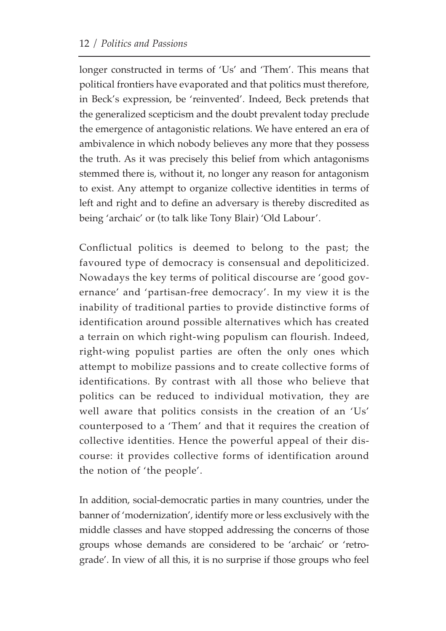longer constructed in terms of 'Us' and 'Them'. This means that political frontiers have evaporated and that politics must therefore, in Beck's expression, be 'reinvented'. Indeed, Beck pretends that the generalized scepticism and the doubt prevalent today preclude the emergence of antagonistic relations. We have entered an era of ambivalence in which nobody believes any more that they possess the truth. As it was precisely this belief from which antagonisms stemmed there is, without it, no longer any reason for antagonism to exist. Any attempt to organize collective identities in terms of left and right and to define an adversary is thereby discredited as being 'archaic' or (to talk like Tony Blair) 'Old Labour'.

Conflictual politics is deemed to belong to the past; the favoured type of democracy is consensual and depoliticized. Nowadays the key terms of political discourse are 'good governance' and 'partisan-free democracy'. In my view it is the inability of traditional parties to provide distinctive forms of identification around possible alternatives which has created a terrain on which right-wing populism can flourish. Indeed, right-wing populist parties are often the only ones which attempt to mobilize passions and to create collective forms of identifications. By contrast with all those who believe that politics can be reduced to individual motivation, they are well aware that politics consists in the creation of an 'Us' counterposed to a 'Them' and that it requires the creation of collective identities. Hence the powerful appeal of their discourse: it provides collective forms of identification around the notion of 'the people'.

In addition, social-democratic parties in many countries, under the banner of 'modernization', identify more or less exclusively with the middle classes and have stopped addressing the concerns of those groups whose demands are considered to be 'archaic' or 'retrograde'. In view of all this, it is no surprise if those groups who feel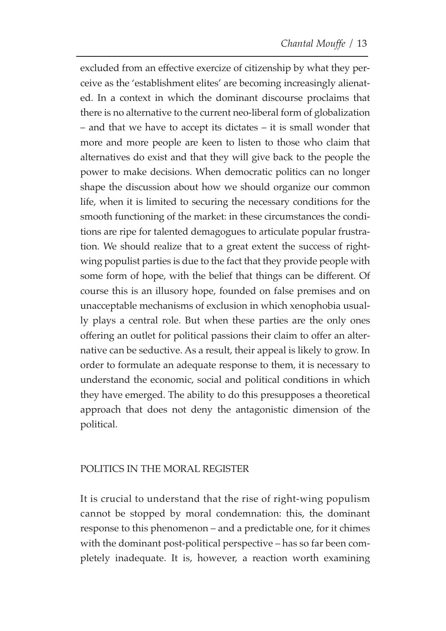excluded from an effective exercize of citizenship by what they perceive as the 'establishment elites' are becoming increasingly alienated. In a context in which the dominant discourse proclaims that there is no alternative to the current neo-liberal form of globalization – and that we have to accept its dictates – it is small wonder that more and more people are keen to listen to those who claim that alternatives do exist and that they will give back to the people the power to make decisions. When democratic politics can no longer shape the discussion about how we should organize our common life, when it is limited to securing the necessary conditions for the smooth functioning of the market: in these circumstances the conditions are ripe for talented demagogues to articulate popular frustration. We should realize that to a great extent the success of rightwing populist parties is due to the fact that they provide people with some form of hope, with the belief that things can be different. Of course this is an illusory hope, founded on false premises and on unacceptable mechanisms of exclusion in which xenophobia usually plays a central role. But when these parties are the only ones offering an outlet for political passions their claim to offer an alternative can be seductive. As a result, their appeal is likely to grow. In order to formulate an adequate response to them, it is necessary to understand the economic, social and political conditions in which they have emerged. The ability to do this presupposes a theoretical approach that does not deny the antagonistic dimension of the political.

#### POLITICS IN THE MORAL REGISTER

It is crucial to understand that the rise of right-wing populism cannot be stopped by moral condemnation: this, the dominant response to this phenomenon – and a predictable one, for it chimes with the dominant post-political perspective – has so far been completely inadequate. It is, however, a reaction worth examining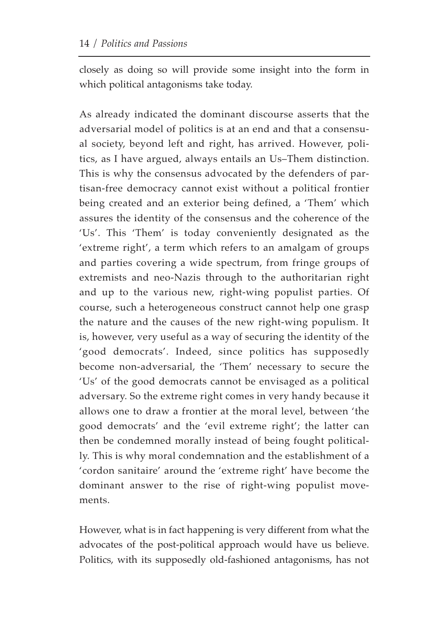closely as doing so will provide some insight into the form in which political antagonisms take today.

As already indicated the dominant discourse asserts that the adversarial model of politics is at an end and that a consensual society, beyond left and right, has arrived. However, politics, as I have argued, always entails an Us–Them distinction. This is why the consensus advocated by the defenders of partisan-free democracy cannot exist without a political frontier being created and an exterior being defined, a 'Them' which assures the identity of the consensus and the coherence of the 'Us'. This 'Them' is today conveniently designated as the 'extreme right', a term which refers to an amalgam of groups and parties covering a wide spectrum, from fringe groups of extremists and neo-Nazis through to the authoritarian right and up to the various new, right-wing populist parties. Of course, such a heterogeneous construct cannot help one grasp the nature and the causes of the new right-wing populism. It is, however, very useful as a way of securing the identity of the 'good democrats'. Indeed, since politics has supposedly become non-adversarial, the 'Them' necessary to secure the 'Us' of the good democrats cannot be envisaged as a political adversary. So the extreme right comes in very handy because it allows one to draw a frontier at the moral level, between 'the good democrats' and the 'evil extreme right'; the latter can then be condemned morally instead of being fought politically. This is why moral condemnation and the establishment of a 'cordon sanitaire' around the 'extreme right' have become the dominant answer to the rise of right-wing populist movements.

However, what is in fact happening is very different from what the advocates of the post-political approach would have us believe. Politics, with its supposedly old-fashioned antagonisms, has not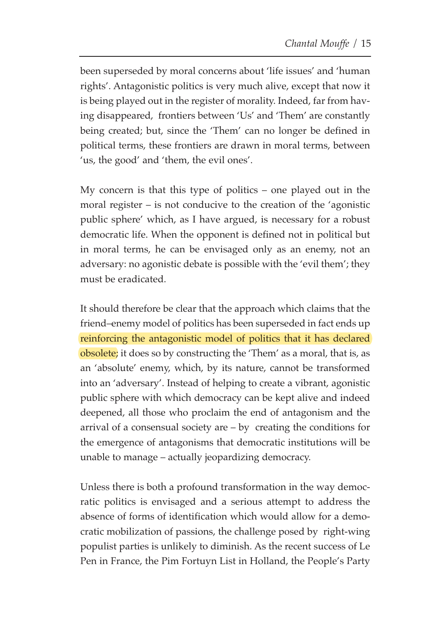been superseded by moral concerns about 'life issues' and 'human rights'. Antagonistic politics is very much alive, except that now it is being played out in the register of morality. Indeed, far from having disappeared, frontiers between 'Us' and 'Them' are constantly being created; but, since the 'Them' can no longer be defined in political terms, these frontiers are drawn in moral terms, between 'us, the good' and 'them, the evil ones'.

My concern is that this type of politics – one played out in the moral register – is not conducive to the creation of the 'agonistic public sphere' which, as I have argued, is necessary for a robust democratic life. When the opponent is defined not in political but in moral terms, he can be envisaged only as an enemy, not an adversary: no agonistic debate is possible with the 'evil them'; they must be eradicated.

It should therefore be clear that the approach which claims that the friend–enemy model of politics has been superseded in fact ends up reinforcing the antagonistic model of politics that it has declared obsolete; it does so by constructing the 'Them' as a moral, that is, as an 'absolute' enemy, which, by its nature, cannot be transformed into an 'adversary'. Instead of helping to create a vibrant, agonistic public sphere with which democracy can be kept alive and indeed deepened, all those who proclaim the end of antagonism and the arrival of a consensual society are – by creating the conditions for the emergence of antagonisms that democratic institutions will be unable to manage – actually jeopardizing democracy.

Unless there is both a profound transformation in the way democratic politics is envisaged and a serious attempt to address the absence of forms of identification which would allow for a democratic mobilization of passions, the challenge posed by right-wing populist parties is unlikely to diminish. As the recent success of Le Pen in France, the Pim Fortuyn List in Holland, the People's Party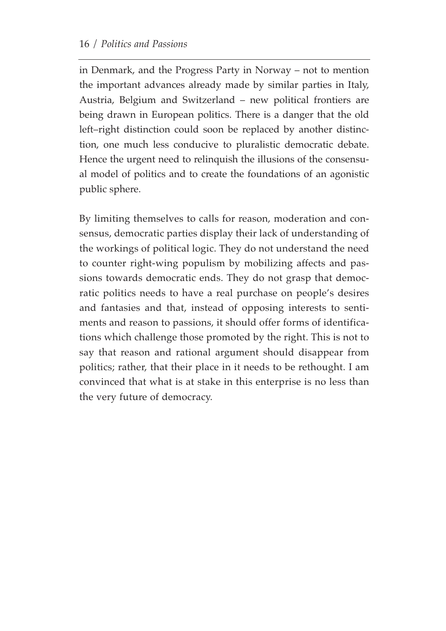in Denmark, and the Progress Party in Norway – not to mention the important advances already made by similar parties in Italy, Austria, Belgium and Switzerland – new political frontiers are being drawn in European politics. There is a danger that the old left–right distinction could soon be replaced by another distinction, one much less conducive to pluralistic democratic debate. Hence the urgent need to relinquish the illusions of the consensual model of politics and to create the foundations of an agonistic public sphere.

By limiting themselves to calls for reason, moderation and consensus, democratic parties display their lack of understanding of the workings of political logic. They do not understand the need to counter right-wing populism by mobilizing affects and passions towards democratic ends. They do not grasp that democratic politics needs to have a real purchase on people's desires and fantasies and that, instead of opposing interests to sentiments and reason to passions, it should offer forms of identifications which challenge those promoted by the right. This is not to say that reason and rational argument should disappear from politics; rather, that their place in it needs to be rethought. I am convinced that what is at stake in this enterprise is no less than the very future of democracy.